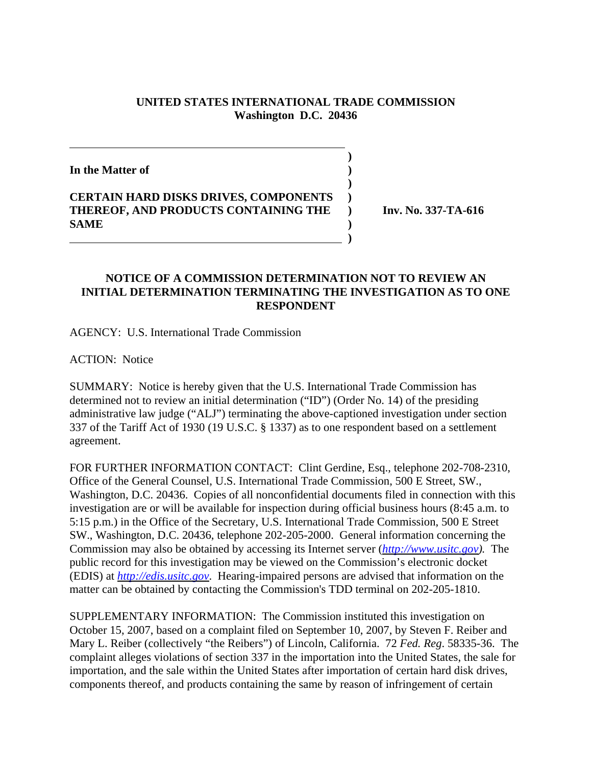## **UNITED STATES INTERNATIONAL TRADE COMMISSION Washington D.C. 20436**

 **)**

**)**

**In the Matter of )**

**CERTAIN HARD DISKS DRIVES, COMPONENTS ) THEREOF, AND PRODUCTS CONTAINING THE ) Inv. No. 337-TA-616 SAME )**

 **)**

## **NOTICE OF A COMMISSION DETERMINATION NOT TO REVIEW AN INITIAL DETERMINATION TERMINATING THE INVESTIGATION AS TO ONE RESPONDENT**

AGENCY: U.S. International Trade Commission

ACTION: Notice

SUMMARY: Notice is hereby given that the U.S. International Trade Commission has determined not to review an initial determination ("ID") (Order No. 14) of the presiding administrative law judge ("ALJ") terminating the above-captioned investigation under section 337 of the Tariff Act of 1930 (19 U.S.C. § 1337) as to one respondent based on a settlement agreement.

FOR FURTHER INFORMATION CONTACT: Clint Gerdine, Esq., telephone 202-708-2310, Office of the General Counsel, U.S. International Trade Commission, 500 E Street, SW., Washington, D.C. 20436. Copies of all nonconfidential documents filed in connection with this investigation are or will be available for inspection during official business hours (8:45 a.m. to 5:15 p.m.) in the Office of the Secretary, U.S. International Trade Commission, 500 E Street SW., Washington, D.C. 20436, telephone 202-205-2000. General information concerning the Commission may also be obtained by accessing its Internet server (*http://www.usitc.gov).* The public record for this investigation may be viewed on the Commission's electronic docket (EDIS) at *http://edis.usitc.gov*. Hearing-impaired persons are advised that information on the matter can be obtained by contacting the Commission's TDD terminal on 202-205-1810.

SUPPLEMENTARY INFORMATION: The Commission instituted this investigation on October 15, 2007, based on a complaint filed on September 10, 2007, by Steven F. Reiber and Mary L. Reiber (collectively "the Reibers") of Lincoln, California. 72 *Fed. Reg*. 58335-36. The complaint alleges violations of section 337 in the importation into the United States, the sale for importation, and the sale within the United States after importation of certain hard disk drives, components thereof, and products containing the same by reason of infringement of certain